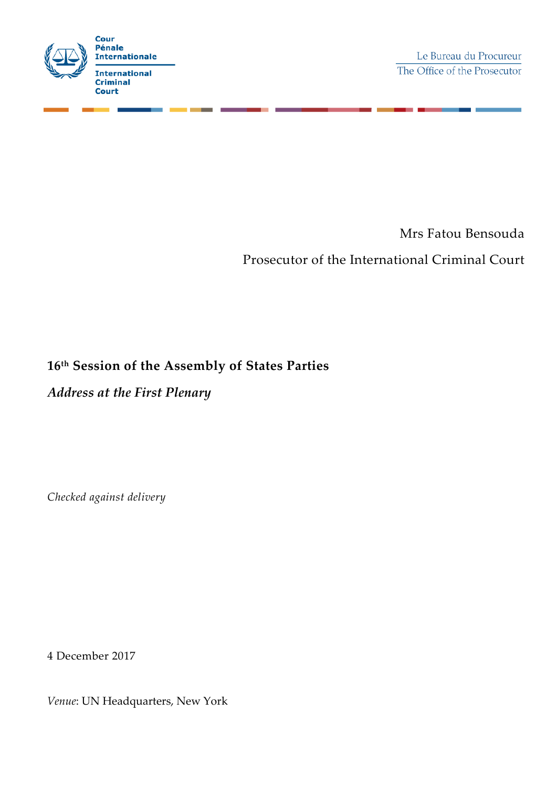

Mrs Fatou Bensouda

Prosecutor of the International Criminal Court

## **16th Session of the Assembly of States Parties**

*Address at the First Plenary*

*Checked against delivery*

4 December 2017

*Venue*: UN Headquarters, New York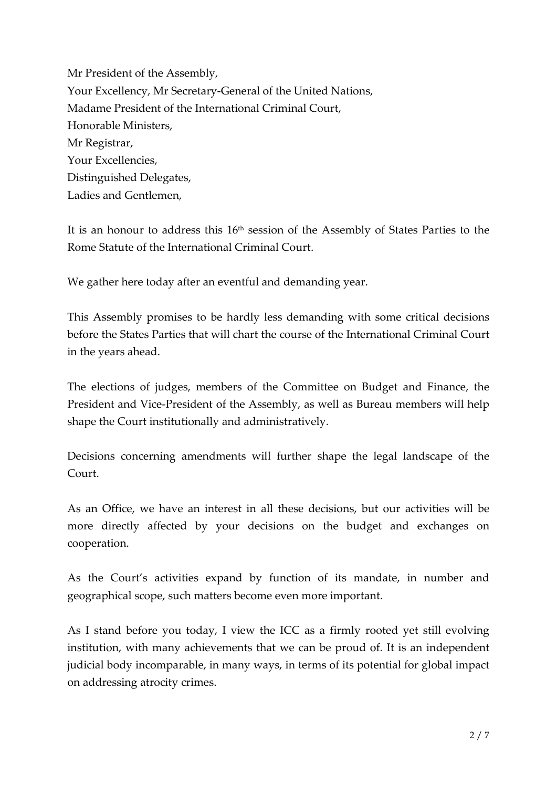Mr President of the Assembly, Your Excellency, Mr Secretary-General of the United Nations, Madame President of the International Criminal Court, Honorable Ministers, Mr Registrar, Your Excellencies, Distinguished Delegates, Ladies and Gentlemen,

It is an honour to address this 16<sup>th</sup> session of the Assembly of States Parties to the Rome Statute of the International Criminal Court.

We gather here today after an eventful and demanding year.

This Assembly promises to be hardly less demanding with some critical decisions before the States Parties that will chart the course of the International Criminal Court in the years ahead.

The elections of judges, members of the Committee on Budget and Finance, the President and Vice-President of the Assembly, as well as Bureau members will help shape the Court institutionally and administratively.

Decisions concerning amendments will further shape the legal landscape of the Court.

As an Office, we have an interest in all these decisions, but our activities will be more directly affected by your decisions on the budget and exchanges on cooperation.

As the Court's activities expand by function of its mandate, in number and geographical scope, such matters become even more important.

As I stand before you today, I view the ICC as a firmly rooted yet still evolving institution, with many achievements that we can be proud of. It is an independent judicial body incomparable, in many ways, in terms of its potential for global impact on addressing atrocity crimes.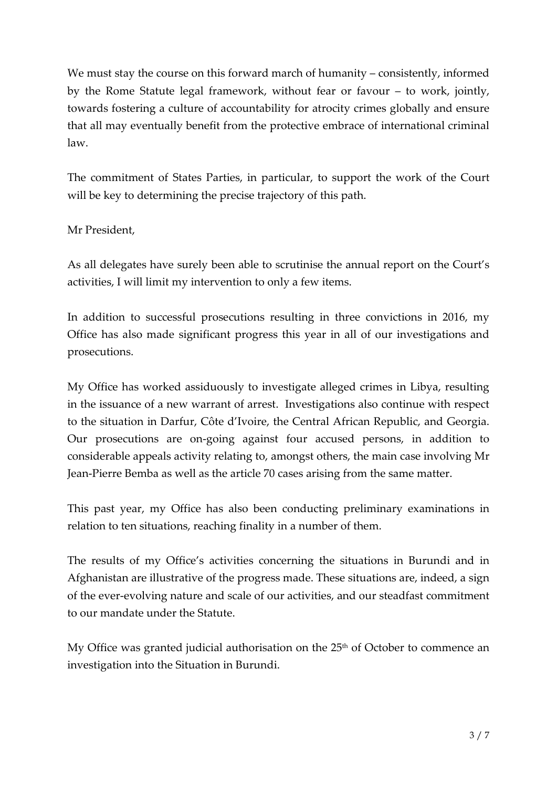We must stay the course on this forward march of humanity – consistently, informed by the Rome Statute legal framework, without fear or favour – to work, jointly, towards fostering a culture of accountability for atrocity crimes globally and ensure that all may eventually benefit from the protective embrace of international criminal law.

The commitment of States Parties, in particular, to support the work of the Court will be key to determining the precise trajectory of this path.

## Mr President,

As all delegates have surely been able to scrutinise the annual report on the Court's activities, I will limit my intervention to only a few items.

In addition to successful prosecutions resulting in three convictions in 2016, my Office has also made significant progress this year in all of our investigations and prosecutions.

My Office has worked assiduously to investigate alleged crimes in Libya, resulting in the issuance of a new warrant of arrest. Investigations also continue with respect to the situation in Darfur, Côte d'Ivoire, the Central African Republic, and Georgia. Our prosecutions are on-going against four accused persons, in addition to considerable appeals activity relating to, amongst others, the main case involving Mr Jean-Pierre Bemba as well as the article 70 cases arising from the same matter.

This past year, my Office has also been conducting preliminary examinations in relation to ten situations, reaching finality in a number of them.

The results of my Office's activities concerning the situations in Burundi and in Afghanistan are illustrative of the progress made. These situations are, indeed, a sign of the ever-evolving nature and scale of our activities, and our steadfast commitment to our mandate under the Statute.

My Office was granted judicial authorisation on the 25<sup>th</sup> of October to commence an investigation into the Situation in Burundi.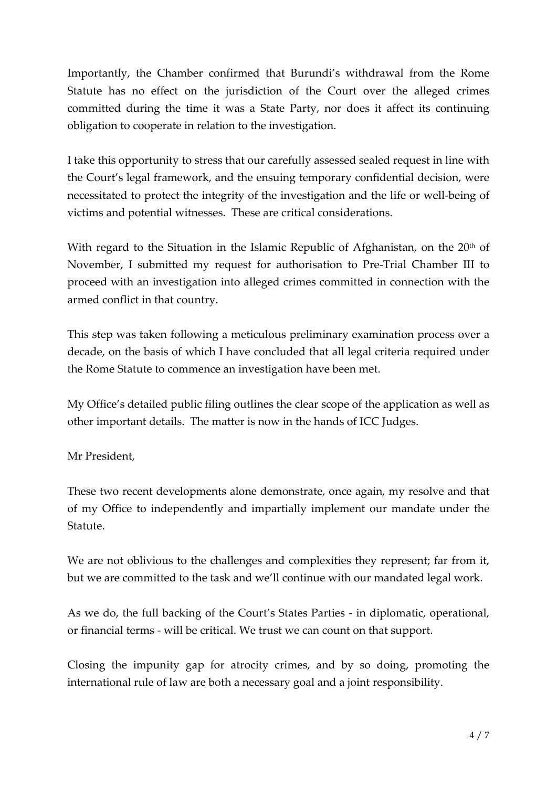Importantly, the Chamber confirmed that Burundi's withdrawal from the Rome Statute has no effect on the jurisdiction of the Court over the alleged crimes committed during the time it was a State Party, nor does it affect its continuing obligation to cooperate in relation to the investigation.

I take this opportunity to stress that our carefully assessed sealed request in line with the Court's legal framework, and the ensuing temporary confidential decision, were necessitated to protect the integrity of the investigation and the life or well-being of victims and potential witnesses. These are critical considerations.

With regard to the Situation in the Islamic Republic of Afghanistan, on the  $20<sup>th</sup>$  of November, I submitted my request for authorisation to Pre-Trial Chamber III to proceed with an investigation into alleged crimes committed in connection with the armed conflict in that country.

This step was taken following a meticulous preliminary examination process over a decade, on the basis of which I have concluded that all legal criteria required under the Rome Statute to commence an investigation have been met.

My Office's detailed public filing outlines the clear scope of the application as well as other important details. The matter is now in the hands of ICC Judges.

Mr President,

These two recent developments alone demonstrate, once again, my resolve and that of my Office to independently and impartially implement our mandate under the Statute.

We are not oblivious to the challenges and complexities they represent; far from it, but we are committed to the task and we'll continue with our mandated legal work.

As we do, the full backing of the Court's States Parties - in diplomatic, operational, or financial terms - will be critical. We trust we can count on that support.

Closing the impunity gap for atrocity crimes, and by so doing, promoting the international rule of law are both a necessary goal and a joint responsibility.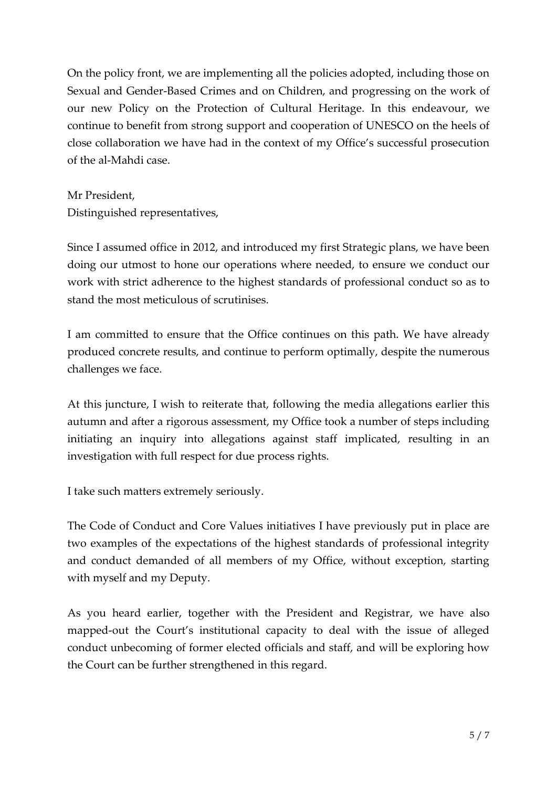On the policy front, we are implementing all the policies adopted, including those on Sexual and Gender-Based Crimes and on Children, and progressing on the work of our new Policy on the Protection of Cultural Heritage. In this endeavour, we continue to benefit from strong support and cooperation of UNESCO on the heels of close collaboration we have had in the context of my Office's successful prosecution of the al-Mahdi case.

Mr President, Distinguished representatives,

Since I assumed office in 2012, and introduced my first Strategic plans, we have been doing our utmost to hone our operations where needed, to ensure we conduct our work with strict adherence to the highest standards of professional conduct so as to stand the most meticulous of scrutinises.

I am committed to ensure that the Office continues on this path. We have already produced concrete results, and continue to perform optimally, despite the numerous challenges we face.

At this juncture, I wish to reiterate that, following the media allegations earlier this autumn and after a rigorous assessment, my Office took a number of steps including initiating an inquiry into allegations against staff implicated, resulting in an investigation with full respect for due process rights.

I take such matters extremely seriously.

The Code of Conduct and Core Values initiatives I have previously put in place are two examples of the expectations of the highest standards of professional integrity and conduct demanded of all members of my Office, without exception, starting with myself and my Deputy.

As you heard earlier, together with the President and Registrar, we have also mapped-out the Court's institutional capacity to deal with the issue of alleged conduct unbecoming of former elected officials and staff, and will be exploring how the Court can be further strengthened in this regard.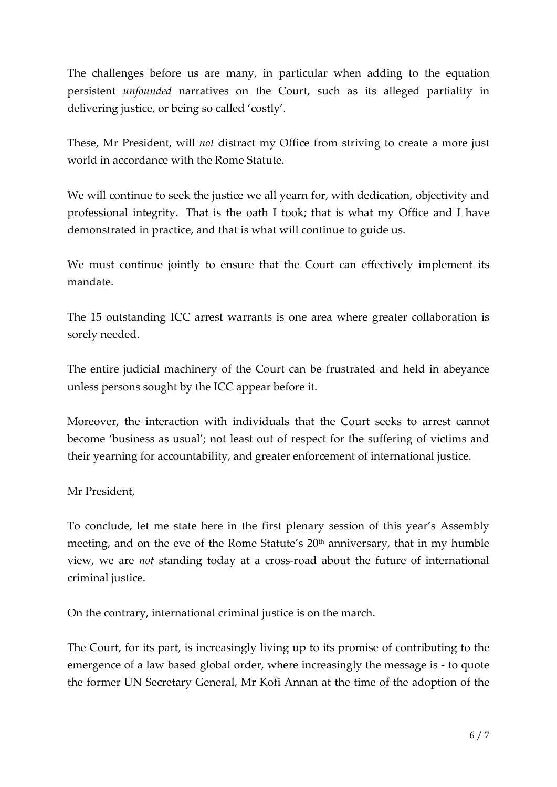The challenges before us are many, in particular when adding to the equation persistent *unfounded* narratives on the Court, such as its alleged partiality in delivering justice, or being so called 'costly'.

These, Mr President, will *not* distract my Office from striving to create a more just world in accordance with the Rome Statute.

We will continue to seek the justice we all yearn for, with dedication, objectivity and professional integrity. That is the oath I took; that is what my Office and I have demonstrated in practice, and that is what will continue to guide us.

We must continue jointly to ensure that the Court can effectively implement its mandate.

The 15 outstanding ICC arrest warrants is one area where greater collaboration is sorely needed.

The entire judicial machinery of the Court can be frustrated and held in abeyance unless persons sought by the ICC appear before it.

Moreover, the interaction with individuals that the Court seeks to arrest cannot become 'business as usual'; not least out of respect for the suffering of victims and their yearning for accountability, and greater enforcement of international justice.

## Mr President,

To conclude, let me state here in the first plenary session of this year's Assembly meeting, and on the eve of the Rome Statute's 20<sup>th</sup> anniversary, that in my humble view, we are *not* standing today at a cross-road about the future of international criminal justice.

On the contrary, international criminal justice is on the march.

The Court, for its part, is increasingly living up to its promise of contributing to the emergence of a law based global order, where increasingly the message is - to quote the former UN Secretary General, Mr Kofi Annan at the time of the adoption of the